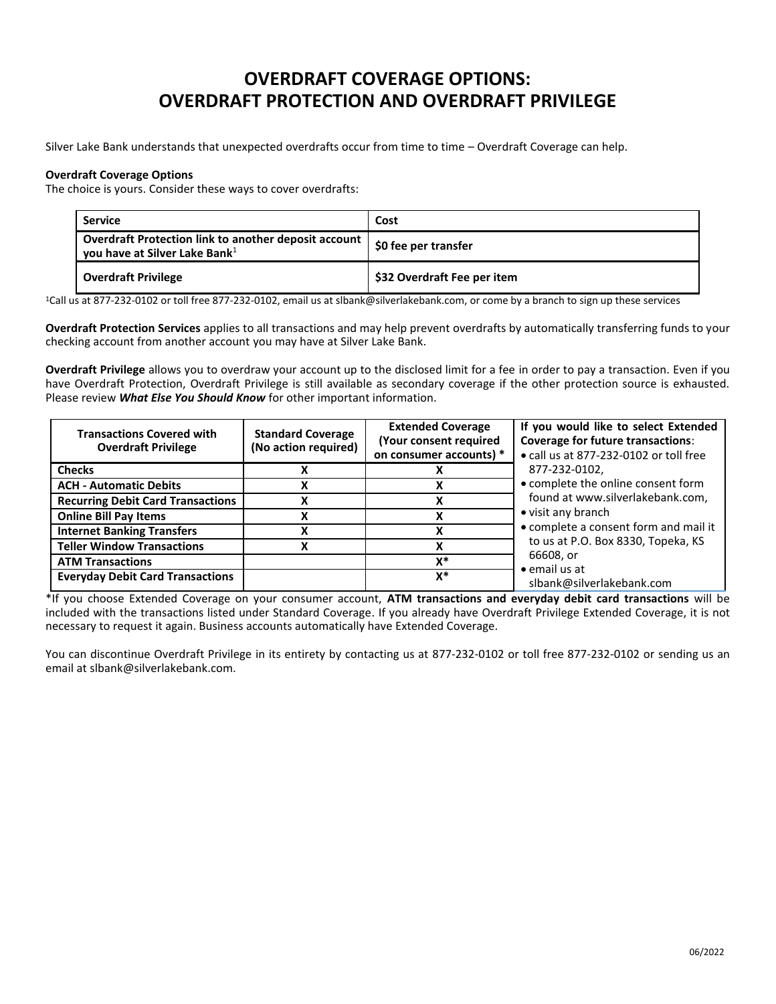## **OVERDRAFT COVERAGE OPTIONS: OVERDRAFT PROTECTION AND OVERDRAFT PRIVILEGE**

Silver Lake Bank understands that unexpected overdrafts occur from time to time – Overdraft Coverage can help.

## **Overdraft Coverage Options**

The choice is yours. Consider these ways to cover overdrafts:

| <b>Service</b>                                                                                      | Cost                          |
|-----------------------------------------------------------------------------------------------------|-------------------------------|
| Overdraft Protection link to another deposit account  <br>you have at Silver Lake Bank <sup>1</sup> | <b>1 \$0 fee per transfer</b> |
| <b>Overdraft Privilege</b>                                                                          | \$32 Overdraft Fee per item   |

<sup>1</sup>Call us at 877-232-0102 or toll free 877-232-0102, email us at slbank@silverlakebank.com, or come by a branch to sign up these services

**Overdraft Protection Services** applies to all transactions and may help prevent overdrafts by automatically transferring funds to your checking account from another account you may have at Silver Lake Bank.

**Overdraft Privilege** allows you to overdraw your account up to the disclosed limit for a fee in order to pay a transaction. Even if you have Overdraft Protection, Overdraft Privilege is still available as secondary coverage if the other protection source is exhausted. Please review *What Else You Should Know* for other important information.

| <b>Transactions Covered with</b><br><b>Overdraft Privilege</b> | <b>Standard Coverage</b><br>(No action required) | <b>Extended Coverage</b><br>(Your consent required<br>on consumer accounts) * | If you would like to select Extended<br><b>Coverage for future transactions:</b><br>• call us at 877-232-0102 or toll free<br>877-232-0102,<br>• complete the online consent form<br>found at www.silverlakebank.com,<br>• visit any branch<br>• complete a consent form and mail it<br>to us at P.O. Box 8330, Topeka, KS<br>66608, or<br>$\bullet$ email us at<br>slbank@silverlakebank.com |
|----------------------------------------------------------------|--------------------------------------------------|-------------------------------------------------------------------------------|-----------------------------------------------------------------------------------------------------------------------------------------------------------------------------------------------------------------------------------------------------------------------------------------------------------------------------------------------------------------------------------------------|
| <b>Checks</b>                                                  |                                                  |                                                                               |                                                                                                                                                                                                                                                                                                                                                                                               |
| <b>ACH - Automatic Debits</b>                                  |                                                  |                                                                               |                                                                                                                                                                                                                                                                                                                                                                                               |
| <b>Recurring Debit Card Transactions</b>                       |                                                  |                                                                               |                                                                                                                                                                                                                                                                                                                                                                                               |
| <b>Online Bill Pay Items</b>                                   |                                                  |                                                                               |                                                                                                                                                                                                                                                                                                                                                                                               |
| <b>Internet Banking Transfers</b>                              |                                                  |                                                                               |                                                                                                                                                                                                                                                                                                                                                                                               |
| <b>Teller Window Transactions</b>                              | χ                                                |                                                                               |                                                                                                                                                                                                                                                                                                                                                                                               |
| <b>ATM Transactions</b>                                        |                                                  | x*                                                                            |                                                                                                                                                                                                                                                                                                                                                                                               |
| <b>Everyday Debit Card Transactions</b>                        |                                                  | $x^*$                                                                         |                                                                                                                                                                                                                                                                                                                                                                                               |

\*If you choose Extended Coverage on your consumer account, **ATM transactions and everyday debit card transactions** will be included with the transactions listed under Standard Coverage. If you already have Overdraft Privilege Extended Coverage, it is not necessary to request it again. Business accounts automatically have Extended Coverage.

You can discontinue Overdraft Privilege in its entirety by contacting us at 877-232-0102 or toll free 877-232-0102 or sending us an email at slbank@silverlakebank.com.